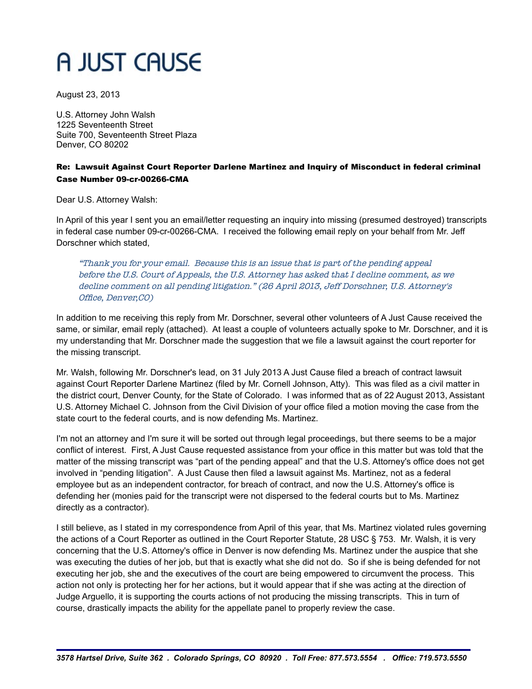## A JUST CAUSE

August 23, 2013

U.S. Attorney John Walsh 1225 Seventeenth Street Suite 700, Seventeenth Street Plaza Denver, CO 80202

## Re: Lawsuit Against Court Reporter Darlene Martinez and Inquiry of Misconduct in federal criminal Case Number 09-cr-00266-CMA

Dear U.S. Attorney Walsh:

In April of this year I sent you an email/letter requesting an inquiry into missing (presumed destroyed) transcripts in federal case number 09-cr-00266-CMA. I received the following email reply on your behalf from Mr. Jeff Dorschner which stated,

"Thank you for your email. Because this is an issue that is part of the pending appeal before the U.S. Court of Appeals, the U.S. Attorney has asked that I decline comment, as we decline comment on all pending litigation." (26 April 2013, Jeff Dorschner, U.S. Attorney's Office, Denver,CO)

In addition to me receiving this reply from Mr. Dorschner, several other volunteers of A Just Cause received the same, or similar, email reply (attached). At least a couple of volunteers actually spoke to Mr. Dorschner, and it is my understanding that Mr. Dorschner made the suggestion that we file a lawsuit against the court reporter for the missing transcript.

Mr. Walsh, following Mr. Dorschner's lead, on 31 July 2013 A Just Cause filed a breach of contract lawsuit against Court Reporter Darlene Martinez (filed by Mr. Cornell Johnson, Atty). This was filed as a civil matter in the district court, Denver County, for the State of Colorado. I was informed that as of 22 August 2013, Assistant U.S. Attorney Michael C. Johnson from the Civil Division of your office filed a motion moving the case from the state court to the federal courts, and is now defending Ms. Martinez.

I'm not an attorney and I'm sure it will be sorted out through legal proceedings, but there seems to be a major conflict of interest. First, A Just Cause requested assistance from your office in this matter but was told that the matter of the missing transcript was "part of the pending appeal" and that the U.S. Attorney's office does not get involved in "pending litigation". A Just Cause then filed a lawsuit against Ms. Martinez, not as a federal employee but as an independent contractor, for breach of contract, and now the U.S. Attorney's office is defending her (monies paid for the transcript were not dispersed to the federal courts but to Ms. Martinez directly as a contractor).

I still believe, as I stated in my correspondence from April of this year, that Ms. Martinez violated rules governing the actions of a Court Reporter as outlined in the Court Reporter Statute, 28 USC § 753. Mr. Walsh, it is very concerning that the U.S. Attorney's office in Denver is now defending Ms. Martinez under the auspice that she was executing the duties of her job, but that is exactly what she did not do. So if she is being defended for not executing her job, she and the executives of the court are being empowered to circumvent the process. This action not only is protecting her for her actions, but it would appear that if she was acting at the direction of Judge Arguello, it is supporting the courts actions of not producing the missing transcripts. This in turn of course, drastically impacts the ability for the appellate panel to properly review the case.